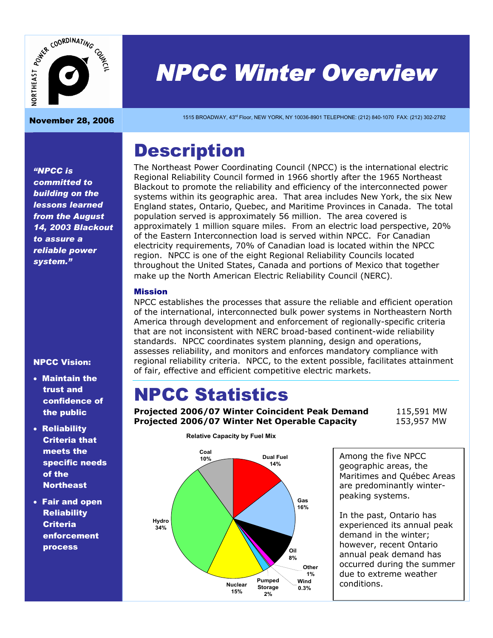

# *NPCC Winter Overview*  November 28, 2006 1515 BROADWAY, 43rd Floor, NEW YORK, NY 10036-8901 TELEPHONE: (212) 840-1070 FAX: (212) 302-2782

## **Description**

The Northeast Power Coordinating Council (NPCC) is the international electric Regional Reliability Council formed in 1966 shortly after the 1965 Northeast Blackout to promote the reliability and efficiency of the interconnected power systems within its geographic area. That area includes New York, the six New England states, Ontario, Quebec, and Maritime Provinces in Canada. The total population served is approximately 56 million. The area covered is approximately 1 million square miles. From an electric load perspective, 20% of the Eastern Interconnection load is served within NPCC. For Canadian electricity requirements, 70% of Canadian load is located within the NPCC region. NPCC is one of the eight Regional Reliability Councils located throughout the United States, Canada and portions of Mexico that together make up the North American Electric Reliability Council (NERC).

#### Mission

NPCC establishes the processes that assure the reliable and efficient operation of the international, interconnected bulk power systems in Northeastern North America through development and enforcement of regionally-specific criteria that are not inconsistent with NERC broad-based continent-wide reliability standards. NPCC coordinates system planning, design and operations, assesses reliability, and monitors and enforces mandatory compliance with regional reliability criteria. NPCC, to the extent possible, facilitates attainment of fair, effective and efficient competitive electric markets.

## NPCC Statistics

**Projected 2006/07 Winter Coincident Peak Demand** 115,591 MW **Projected 2006/07 Winter Net Operable Capacity** 153,957 MW



Among the five NPCC geographic areas, the Maritimes and Québec Areas are predominantly winterpeaking systems.

In the past, Ontario has experienced its annual peak demand in the winter; however, recent Ontario annual peak demand has occurred during the summer due to extreme weather conditions.

*"NPCC is committed to building on the lessons learned from the August 14, 2003 Blackout to assure a reliable power system."* 

#### NPCC Vision:

- Maintain the trust and confidence of the public
- Reliability Criteria that meets the specific needs of the **Northeast**
- Fair and open **Reliability Criteria** enforcement process